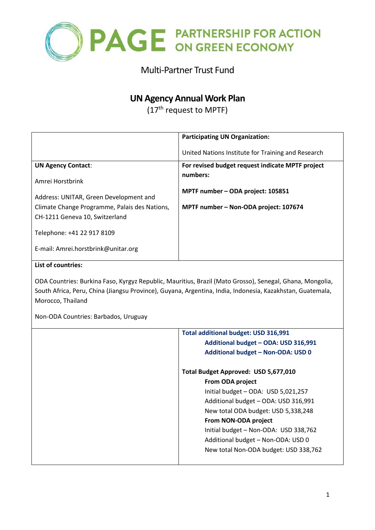

# Multi-Partner Trust Fund

# **UN Agency Annual Work Plan**

(17<sup>th</sup> request to MPTF)

|                                                                                                           | <b>Participating UN Organization:</b>              |  |  |  |  |  |
|-----------------------------------------------------------------------------------------------------------|----------------------------------------------------|--|--|--|--|--|
|                                                                                                           | United Nations Institute for Training and Research |  |  |  |  |  |
| <b>UN Agency Contact:</b>                                                                                 | For revised budget request indicate MPTF project   |  |  |  |  |  |
| Amrei Horstbrink                                                                                          | numbers:                                           |  |  |  |  |  |
|                                                                                                           | MPTF number - ODA project: 105851                  |  |  |  |  |  |
| Address: UNITAR, Green Development and<br>Climate Change Programme, Palais des Nations,                   | MPTF number - Non-ODA project: 107674              |  |  |  |  |  |
| CH-1211 Geneva 10, Switzerland                                                                            |                                                    |  |  |  |  |  |
| Telephone: +41 22 917 8109                                                                                |                                                    |  |  |  |  |  |
| E-mail: Amrei.horstbrink@unitar.org                                                                       |                                                    |  |  |  |  |  |
| List of countries:                                                                                        |                                                    |  |  |  |  |  |
| ODA Countries: Burkina Faso, Kyrgyz Republic, Mauritius, Brazil (Mato Grosso), Senegal, Ghana, Mongolia,  |                                                    |  |  |  |  |  |
| South Africa, Peru, China (Jiangsu Province), Guyana, Argentina, India, Indonesia, Kazakhstan, Guatemala, |                                                    |  |  |  |  |  |
| Morocco, Thailand                                                                                         |                                                    |  |  |  |  |  |
| Non-ODA Countries: Barbados, Uruguay                                                                      |                                                    |  |  |  |  |  |
|                                                                                                           | Tatal additional budget, UCD 34C 004               |  |  |  |  |  |

| <b>Total additional budget: USD 316,991</b> |
|---------------------------------------------|
| Additional budget - ODA: USD 316,991        |
| Additional budget - Non-ODA: USD 0          |
| Total Budget Approved: USD 5,677,010        |
| From ODA project                            |
| Initial budget - ODA: USD 5,021,257         |
| Additional budget - ODA: USD 316,991        |
| New total ODA budget: USD 5,338,248         |
| From NON-ODA project                        |
| Initial budget - Non-ODA: USD 338,762       |
| Additional budget - Non-ODA: USD 0          |
| New total Non-ODA budget: USD 338,762       |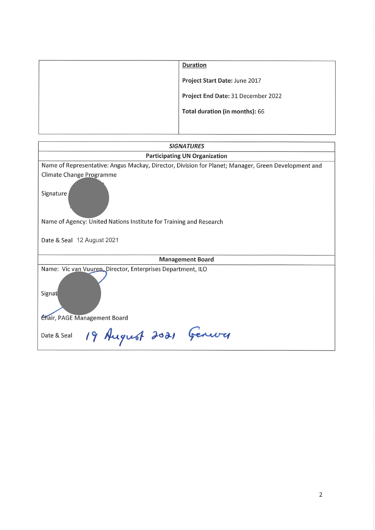| <b>Duration</b>                    |
|------------------------------------|
| Project Start Date: June 2017      |
| Project End Date: 31 December 2022 |
| Total duration (in months): 66     |
|                                    |

| <b>SIGNATURES</b>                                                                                   |  |  |  |  |  |
|-----------------------------------------------------------------------------------------------------|--|--|--|--|--|
| <b>Participating UN Organization</b>                                                                |  |  |  |  |  |
| Name of Representative: Angus Mackay, Director, Division for Planet; Manager, Green Development and |  |  |  |  |  |
| Climate Change Programme                                                                            |  |  |  |  |  |
| Signature                                                                                           |  |  |  |  |  |
| Name of Agency: United Nations Institute for Training and Research                                  |  |  |  |  |  |
| Date & Seal 12 August 2021                                                                          |  |  |  |  |  |
| <b>Management Board</b>                                                                             |  |  |  |  |  |
| Name: Vic van Vuuren, Director, Enterprises Department, ILO                                         |  |  |  |  |  |
| Signat                                                                                              |  |  |  |  |  |
| Chair, PAGE Management Board                                                                        |  |  |  |  |  |
| 19 August 2021 Genever<br>Date & Seal                                                               |  |  |  |  |  |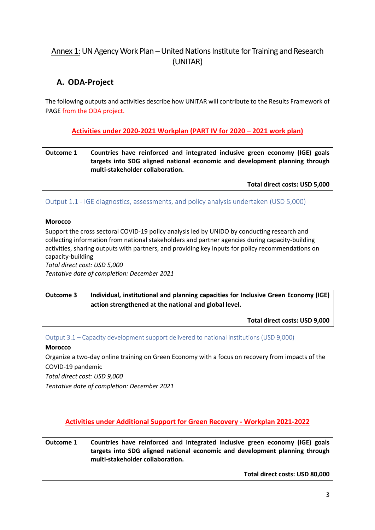# Annex 1: UN Agency Work Plan – United Nations Institute for Training and Research (UNITAR)

# **A. ODA-Project**

The following outputs and activities describe how UNITAR will contribute to the Results Framework of PAGE from the ODA project.

**Activities under 2020-2021 Workplan (PART IV for 2020 – 2021 work plan)**

**Outcome 1 Countries have reinforced and integrated inclusive green economy (IGE) goals targets into SDG aligned national economic and development planning through multi-stakeholder collaboration.**

**Total direct costs: USD 5,000**

Output 1.1 - IGE diagnostics, assessments, and policy analysis undertaken (USD 5,000)

### **Morocco**

Support the cross sectoral COVID-19 policy analysis led by UNIDO by conducting research and collecting information from national stakeholders and partner agencies during capacity-building activities, sharing outputs with partners, and providing key inputs for policy recommendations on capacity-building

*Total direct cost: USD 5,000 Tentative date of completion: December 2021*

**Outcome 3 Individual, institutional and planning capacities for Inclusive Green Economy (IGE) action strengthened at the national and global level.**

**Total direct costs: USD 9,000**

Output 3.1 – Capacity development support delivered to national institutions (USD 9,000)

### **Morocco**

Organize a two-day online training on Green Economy with a focus on recovery from impacts of the COVID-19 pandemic

*Total direct cost: USD 9,000*

*Tentative date of completion: December 2021*

**Activities under Additional Support for Green Recovery - Workplan 2021-2022**

**Outcome 1 Countries have reinforced and integrated inclusive green economy (IGE) goals targets into SDG aligned national economic and development planning through multi-stakeholder collaboration.**

**Total direct costs: USD 80,000**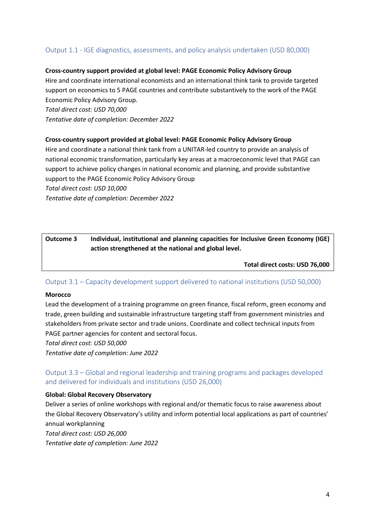### Output 1.1 - IGE diagnostics, assessments, and policy analysis undertaken (USD 80,000)

#### **Cross-country support provided at global level: PAGE Economic Policy Advisory Group**

Hire and coordinate international economists and an international think tank to provide targeted support on economics to 5 PAGE countries and contribute substantively to the work of the PAGE Economic Policy Advisory Group.

*Total direct cost: USD 70,000*

*Tentative date of completion: December 2022*

#### **Cross-country support provided at global level: PAGE Economic Policy Advisory Group**

Hire and coordinate a national think tank from a UNITAR-led country to provide an analysis of national economic transformation, particularly key areas at a macroeconomic level that PAGE can support to achieve policy changes in national economic and planning, and provide substantive support to the PAGE Economic Policy Advisory Group *Total direct cost: USD 10,000*

*Tentative date of completion: December 2022*

### **Outcome 3 Individual, institutional and planning capacities for Inclusive Green Economy (IGE) action strengthened at the national and global level.**

**Total direct costs: USD 76,000**

### Output 3.1 – Capacity development support delivered to national institutions (USD 50,000)

#### **Morocco**

Lead the development of a training programme on green finance, fiscal reform, green economy and trade, green building and sustainable infrastructure targeting staff from government ministries and stakeholders from private sector and trade unions. Coordinate and collect technical inputs from PAGE partner agencies for content and sectoral focus.

*Total direct cost: USD 50,000*

*Tentative date of completion: June 2022*

## Output 3.3 – Global and regional leadership and training programs and packages developed and delivered for individuals and institutions (USD 26,000)

#### **Global: Global Recovery Observatory**

Deliver a series of online workshops with regional and/or thematic focus to raise awareness about the Global Recovery Observatory's utility and inform potential local applications as part of countries' annual workplanning

*Total direct cost: USD 26,000 Tentative date of completion: June 2022*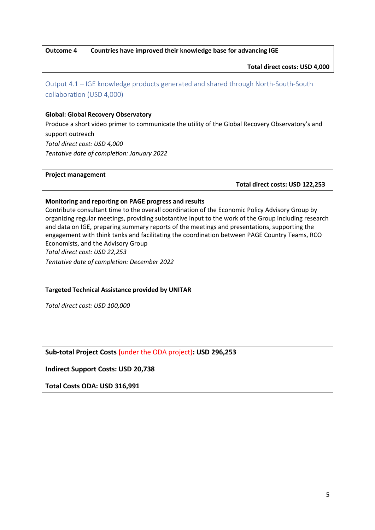**Outcome 4 Countries have improved their knowledge base for advancing IGE**

**Total direct costs: USD 4,000** 

Output 4.1 – IGE knowledge products generated and shared through North-South-South collaboration (USD 4,000)

#### **Global: Global Recovery Observatory**

Produce a short video primer to communicate the utility of the Global Recovery Observatory's and support outreach *Total direct cost: USD 4,000 Tentative date of completion: January 2022*

#### **Project management**

 **Total direct costs: USD 122,253**

#### **Monitoring and reporting on PAGE progress and results**

Contribute consultant time to the overall coordination of the Economic Policy Advisory Group by organizing regular meetings, providing substantive input to the work of the Group including research and data on IGE, preparing summary reports of the meetings and presentations, supporting the engagement with think tanks and facilitating the coordination between PAGE Country Teams, RCO Economists, and the Advisory Group *Total direct cost: USD 22,253 Tentative date of completion: December 2022*

#### **Targeted Technical Assistance provided by UNITAR**

*Total direct cost: USD 100,000*

### **Sub-total Project Costs (**under the ODA project)**: USD 296,253**

**Indirect Support Costs: USD 20,738**

**Total Costs ODA: USD 316,991**